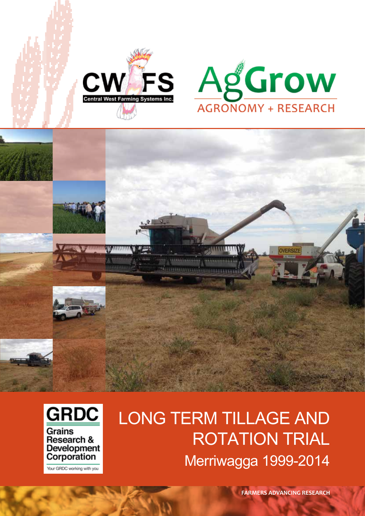





**Development** Corporation Your GRDC working with you

# Long Term tillage and **ROTATION TRIAL** Merriwagga 1999-2014

1154664589961

**FARMERS ADVANCING RESEARCH**

**OVERSIZE**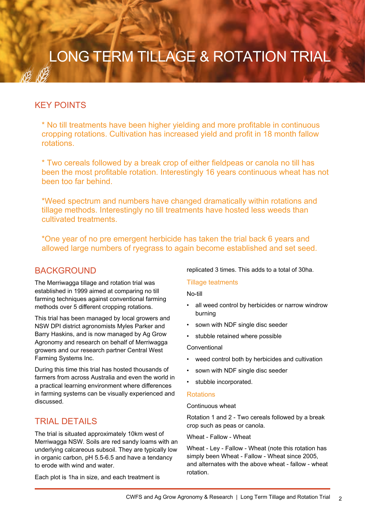## LONG TERM TILLAGE & ROTATION TRIAL

## key points

\* No till treatments have been higher yielding and more profitable in continuous cropping rotations. Cultivation has increased yield and profit in 18 month fallow rotations.

\* Two cereals followed by a break crop of either fieldpeas or canola no till has been the most profitable rotation. Interestingly 16 years continuous wheat has not been too far behind.

\*Weed spectrum and numbers have changed dramatically within rotations and tillage methods. Interestingly no till treatments have hosted less weeds than cultivated treatments.

\*One year of no pre emergent herbicide has taken the trial back 6 years and allowed large numbers of ryegrass to again become established and set seed.

## **BACKGROUND**

The Merriwagga tillage and rotation trial was established in 1999 aimed at comparing no till farming techniques against conventional farming methods over 5 different cropping rotations.

This trial has been managed by local growers and NSW DPI district agronomists Myles Parker and Barry Haskins, and is now managed by Ag Grow Agronomy and research on behalf of Merriwagga growers and our research partner Central West Farming Systems Inc.

During this time this trial has hosted thousands of farmers from across Australia and even the world in a practical learning environment where differences in farming systems can be visually experienced and discussed.

## **TRIAL DETAILS**

The trial is situated approximately 10km west of Merriwagga NSW. Soils are red sandy loams with an underlying calcareous subsoil. They are typically low in organic carbon, pH 5.5-6.5 and have a tendancy to erode with wind and water.

Each plot is 1ha in size, and each treatment is

replicated 3 times. This adds to a total of 30ha.

## Tillage teatments

No-till

- all weed control by herbicides or narrow windrow burning
- sown with NDF single disc seeder
- stubble retained where possible

**Conventional** 

- weed control both by herbicides and cultivation
- sown with NDF single disc seeder
- stubble incorporated.

#### **Rotations**

Continuous wheat

Rotation 1 and 2 - Two cereals followed by a break crop such as peas or canola.

Wheat - Fallow - Wheat

Wheat - Ley - Fallow - Wheat (note this rotation has simply been Wheat - Fallow - Wheat since 2005, and alternates with the above wheat - fallow - wheat rotation.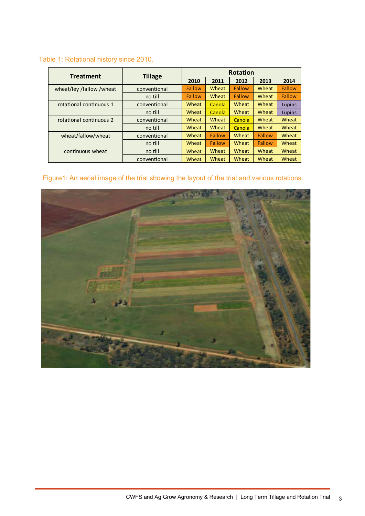## Table 1: Rotational history since 2010.

| <b>Treatment</b>         | <b>Tillage</b> | Rotation      |        |               |        |              |  |
|--------------------------|----------------|---------------|--------|---------------|--------|--------------|--|
|                          |                | 2010          | 2011   | 2012          | 2013   | 2014         |  |
| wheat/ley /fallow /wheat | conventional   | <b>Fallow</b> | Wheat  | <b>Fallow</b> | Wheat  | Fallow       |  |
|                          | no till        | <b>Fallow</b> | Wheat  | Fallow        | Wheat  | Fallow       |  |
| rotational continuous 1  | conventional   | Wheat         | Canola | Wheat         | Wheat  | Lupins       |  |
|                          | no till        | Wheat         | Canola | Wheat         | Wheat  | Lupins       |  |
| rotational continuous 2  | conventional   | Wheat         | Wheat  | <b>Canola</b> | Wheat  | Wheat        |  |
|                          | no till        | <b>Wheat</b>  | Wheat  | <b>Canola</b> | Wheat  | Wheat        |  |
| wheat/fallow/wheat       | conventional   | Wheat         | Fallow | Wheat         | Fallow | Wheat        |  |
|                          | no till        | Wheat         | Fallow | Wheat         | Fallow | <b>Wheat</b> |  |
| continuous wheat         | no till        | Wheat         | Wheat  | Wheat         | Wheat  | Wheat        |  |
|                          | conventional   | <b>Wheat</b>  | Wheat  | Wheat         | Wheat  | Wheat        |  |

## Figure1: An aerial image of the trial showing the layout of the trial and various rotations.

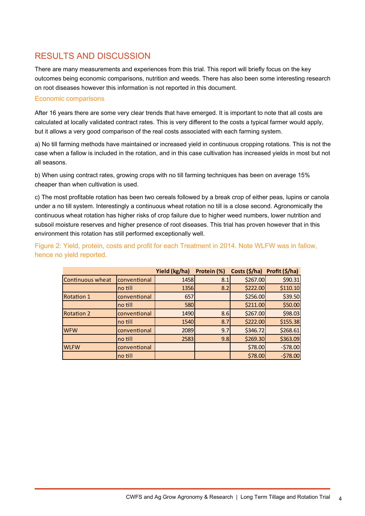## results and discussion

There are many measurements and experiences from this trial. This report will briefly focus on the key outcomes being economic comparisons, nutrition and weeds. There has also been some interesting research on root diseases however this information is not reported in this document.

## Economic comparisons

After 16 years there are some very clear trends that have emerged. It is important to note that all costs are calculated at locally validated contract rates. This is very different to the costs a typical farmer would apply, but it allows a very good comparison of the real costs associated with each farming system.

a) No till farming methods have maintained or increased yield in continuous cropping rotations. This is not the case when a fallow is included in the rotation, and in this case cultivation has increased yields in most but not all seasons.

b) When using contract rates, growing crops with no till farming techniques has been on average 15% cheaper than when cultivation is used.

c) The most profitable rotation has been two cereals followed by a break crop of either peas, lupins or canola under a no till system. Interestingly a continuous wheat rotation no till is a close second. Agronomically the continuous wheat rotation has higher risks of crop failure due to higher weed numbers, lower nutrition and subsoil moisture reserves and higher presence of root diseases. This trial has proven however that in this environment this rotation has still performed exceptionally well.

Figure 2: Yield, protein, costs and profit for each Treatment in 2014. Note WLFW was in fallow, hence no yield reported.

|                         |              | Yield (kg/ha) | Protein (%) | Costs (\$/ha) | Profit (\$/ha) |
|-------------------------|--------------|---------------|-------------|---------------|----------------|
| <b>Continuous wheat</b> | conventional | 1458          | 8.1         | \$267.00      | \$90.31        |
|                         | no till      | 1356          | 8.2         | \$222.00      | \$110.10       |
| <b>Rotation 1</b>       | conventional | 657           |             | \$256.00      | \$39.50        |
|                         | no till      | 580           |             | \$211.00      | \$50.00        |
| <b>Rotation 2</b>       | conventional | 1490          | 8.6         | \$267.00      | \$98.03        |
|                         | no till      | 1540          | 8.7         | \$222.00      | \$155.38       |
| <b>WFW</b>              | conventional | 2089          | 9.7         | \$346.72      | \$268.61       |
|                         | no till      | 2583          | 9.8         | \$269.30      | \$363.09       |
| <b>WLFW</b>             | conventional |               |             | \$78.00       | $-578.00$      |
|                         | no till      |               |             | \$78.00       | $-578.00$      |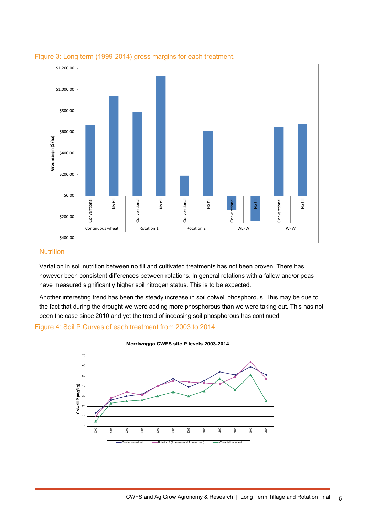

## Figure 3: Long term (1999-2014) gross margins for each treatment.

## **Nutrition**

Variation in soil nutrition between no till and cultivated treatments has not been proven. There has however been consistent differences between rotations. In general rotations with a fallow and/or peas have measured significantly higher soil nitrogen status. This is to be expected.

Another interesting trend has been the steady increase in soil colwell phosphorous. This may be due to the fact that during the drought we were adding more phosphorous than we were taking out. This has not been the case since 2010 and yet the trend of inceasing soil phosphorous has continued.

## Figure 4: Soil P Curves of each treatment from 2003 to 2014.



**Merriwagga CWFS site P levels 2003-2014**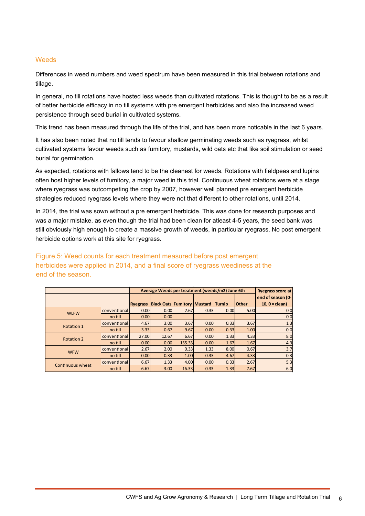## **Weeds**

Differences in weed numbers and weed spectrum have been measured in this trial between rotations and tillage.

In general, no till rotations have hosted less weeds than cultivated rotations. This is thought to be as a result of better herbicide efficacy in no till systems with pre emergent herbicides and also the increased weed persistence through seed burial in cultivated systems.

This trend has been measured through the life of the trial, and has been more noticable in the last 6 years.

It has also been noted that no till tends to favour shallow germinating weeds such as ryegrass, whilst cultivated systems favour weeds such as fumitory, mustards, wild oats etc that like soil stimulation or seed burial for germination.

As expected, rotations with fallows tend to be the cleanest for weeds. Rotations with fieldpeas and lupins often host higher levels of fumitory, a major weed in this trial. Continuous wheat rotations were at a stage where ryegrass was outcompeting the crop by 2007, however well planned pre emergent herbicide strategies reduced ryegrass levels where they were not that different to other rotations, until 2014.

In 2014, the trial was sown without a pre emergent herbicide. This was done for research purposes and was a major mistake, as even though the trial had been clean for atleast 4-5 years, the seed bank was still obviously high enough to create a massive growth of weeds, in particular ryegrass. No post emergent herbicide options work at this site for ryegrass.

Figure 5: Weed counts for each treatment measured before post emergent herbicides were applied in 2014, and a final score of ryegrass weediness at the end of the season.

|                   |              | Average Weeds per treatment (weeds/m2) June 6th | <b>Ryegrass score at</b>           |        |      |               |              |                   |
|-------------------|--------------|-------------------------------------------------|------------------------------------|--------|------|---------------|--------------|-------------------|
|                   |              |                                                 |                                    |        |      |               |              | end of season (0- |
|                   |              | <b>Ryegrass</b>                                 | <b>Black Oats Fumitory Mustard</b> |        |      | <b>Turnip</b> | <b>Other</b> | 10. $0 = clean$ ) |
| <b>WLFW</b>       | conventional | 0.00                                            | 0.00 <sub>l</sub>                  | 2.67   | 0.33 | 0.00          | 5.00         | 0. <sub>C</sub>   |
|                   | no till      | 0.00                                            | 0.00 <sub>l</sub>                  |        |      |               |              | 0.0               |
| Rotation 1        | conventional | 4.67                                            | 3.00 <sub>l</sub>                  | 3.67   | 0.00 | 0.33          | 3.67         | 1.3               |
|                   | no till      | 3.33                                            | 0.67                               | 9.67   | 0.00 | 0.33          | 1.00         | 0.0               |
| <b>Rotation 2</b> | conventional | 27.00                                           | 12.67                              | 6.67   | 0.00 | 1.33          | 4.33         | 8.0               |
|                   | no till      | 0.00                                            | 0.00                               | 155.33 | 0.00 | 1.67          | 1.67         | 4.3               |
| <b>WFW</b>        | conventional | 2.67                                            | 2.00                               | 0.33   | 1.33 | 8.00          | 0.67         | 3.7               |
|                   | no till      | 0.00                                            | 0.33                               | 1.00   | 0.33 | 4.67          | 4.33         | 0.3               |
|                   | conventional | 6.67                                            | 1.33                               | 4.00   | 0.00 | 0.33          | 2.67         | 5.3               |
| Continuous wheat  | no till      | 6.67                                            | 3.00                               | 16.33  | 0.33 | 1.33          | 7.67         | 6.0               |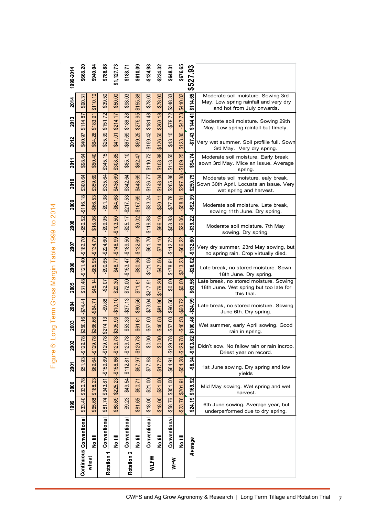| 1999-2014                        | \$668.20                | \$940.04           | \$788.88                  | \$1,127.73                | \$188.71                 | \$610.09                | -\$134.98    | $-2234.32$                  | \$648.3                                     | \$676.65             | \$527.93                   |                                                                                                           |
|----------------------------------|-------------------------|--------------------|---------------------------|---------------------------|--------------------------|-------------------------|--------------|-----------------------------|---------------------------------------------|----------------------|----------------------------|-----------------------------------------------------------------------------------------------------------|
|                                  |                         |                    |                           |                           |                          |                         |              |                             |                                             |                      |                            |                                                                                                           |
| 2014                             | \$90.31                 | \$110.10           | \$39.50                   | \$50.00                   | $\mathbb{S}$<br>\$98.    | $\frac{8}{3}$<br>\$155. | -\$78.00     | $-578.00$                   | \$348.33                                    | \$410.82             | \$114.65                   | Moderate soil moisture. Sowing 3rd<br>May. Low spring rainfall and very dry<br>and hot from July onwards. |
| 2013                             | 87<br>\$114.            | \$183.91           | \$151.72                  | \$214.17                  | \$186.28                 | \$275.95                | \$181.48     | \$263.18                    | $-579.72$                                   | $-$47.73$            | \$144.41                   | Moderate soil moisture. Sowing 29th<br>May. Low spring rainfall but timely.                               |
| 2012                             | \$40.97                 | \$64.28            | \$25.39                   | \$41.01                   | -\$67.69                 | $-559.25$               | $-$159.42$   | $\overline{50}$<br>$-$126.$ | \$43.10                                     | \$123.80             | \$7.43                     | Very wet summer. Soil profiile full. Sown<br>3rd May. Very dry spring.                                    |
| 2011                             | $\mathfrak{B}$<br>\$98. | \$50.40            | \$345.15                  | \$308.85                  | \$85.10                  | $\overline{4}$<br>\$62. | \$110.72     | \$108.88                    | 55<br>$-13.5$                               | $-$109.25$           | \$94.74                    | Moderate soil moisture. Early break,<br>sown 3rd May. Mice an issue. Average<br>spring.                   |
| 2010                             | \$300.64                | \$359.69           | \$335.64                  | 69<br>\$436.              | $\mathfrak{B}$<br>\$342. | \$443.69                | $-$126.77$   | $-$148.04$                  | \$265.86                                    | \$297.88             | \$250.79                   | Moderate soil moisture, ealy break.<br>Sown 30th April. Locusts an issue. Very<br>wet spring and harvest. |
| 2009                             | $-$116.18$              | -\$66.53           | $-591.38$                 | $-$64.68$                 | 53<br>$-5217$ .          | $-$167.69$              | $-$33.24$    | $-$30.11$                   | \$77.78                                     | $-558.81$            | -\$92.39                   | Moderate soil moisture. Late break,<br>sowing 11th June. Dry spring.                                      |
| 2008                             | $-$50.52$               | \$18.06            | $-$99.95$                 | $-$103.50$                | $-525.17$                | $-50.02$                | $-$119.88$   | $-$96.10$                   | \$58.83                                     | \$26.06              | \$39.22                    | Moderate soil moisture. 7th May<br>sowing. Dry spring.                                                    |
| 2007                             | $-$182.70$              | $-$134.79$         | $-$224.60$                | $-$146.99$                | $-$189.50$               | 89<br>$-132$ .          | $-$ \$61.70  | $-574.10$                   | $-$112.72$                                  | $-$ \$66.22          | <u>ငွ</u><br><b>\$132.</b> | Very dry summer, 23rd May sowing, but<br>no spring rain. Crop virtually died.                             |
| 2006                             | $-$121.40$              | $-585.95$          | $-590.65$                 | \$48.77                   | $-$153.47$               | $-580.96$               | $-$121.06$   | $-547.56$                   | \$178.91                                    | \$213.23             | \$26.02                    | Late break, no stored moisture. Sown<br>18th June. Dry spring.                                            |
| 2005                             | \$31.48                 | \$45.14            | -\$2.07                   | \$20.30                   | $\overline{S}$<br>\$72   | \$71.61                 | \$217.91     | \$179.20                    | $\overline{8}$<br>$\overline{\mathfrak{g}}$ | \$0.00               | \$63.56                    | Late break, no stored moisture. Sowing<br>18th June. Wet spring but too late for<br>this trial.           |
| 2004                             | $-574.41$               | -\$64.71           | -\$9.88                   | $-$10.10$                 | $-537.13$                | -\$80.56                | \$73.04      | $-581.96$                   | \$96.50                                     | $$46.50$ -\$60.72    | \$24.99                    | Late break, no stored moisture. Sowing<br>June 6th. Dry spring.                                           |
| 2003                             | \$250.16                | \$266.66           | \$274.13                  | \$305.93                  | \$53.33                  | \$61.61                 | $-$57.00$    | $-$46.50$                   | $-$57.00$                                   |                      | \$100.48                   | Wet summer, early April sowing. Good<br>rain in spring.                                                   |
| 2002                             | $-$129.78$              | \$69.64 - \$129.78 |                           |                           | $-$129.78$               | \$57.97 - \$129.78      | \$0.00       | \$0.00                      | $-$129.78$                                  | $-554.28$ $-5129.78$ | $-$103.82$                 | Didn't sow. No fallow rain or rain incrop.<br>Driest year on record.                                      |
| 2001                             | \$51.93                 |                    | $-$ \$159.89 $-$ \$129.78 | $-$ \$156.86 $-$ \$129.78 | \$112.81                 |                         | \$77.93      | $-$17.72$                   | $-$64.91$                                   |                      | \$8.34                     | 1st June sowing. Dry spring and low<br>yields                                                             |
| 2000                             | \$330.78                | \$188.23           | \$343.81                  | \$225.23                  | \$49.54                  | \$50.71                 | $-$21.00$    | $-$21.00$                   | \$351.00                                    | \$201.91             | \$169.92                   | Mid May sowing. Wet spring and wet<br>harvest.                                                            |
| 1999                             | \$33.40                 | \$65.68            | \$81.74                   | \$88.69                   | \$9.23                   | \$81.65                 | $-$18.00$    | $-$18.00$                   | $-558.76$                                   | $-$23.76$            | \$24.19                    | 6th June sowing. Average year, but<br>underperformed due to dry spring.                                   |
|                                  |                         |                    |                           |                           |                          |                         | Conventional |                             | Conventional                                |                      |                            |                                                                                                           |
|                                  |                         | No till            | Conventional              | No till                   | Conventiona              | No till                 |              | No till                     |                                             | No till              | Average                    |                                                                                                           |
| Continuous Conventional<br>wheat |                         |                    | Rotation                  |                           | Rotation 2               |                         | WLFW         |                             | WFW                                         |                      |                            |                                                                                                           |

Figure 6: Long Term Gross Margin Table 1999 to 2014 Figure 6: Long Term Gross Margin Table 1999 to 2014